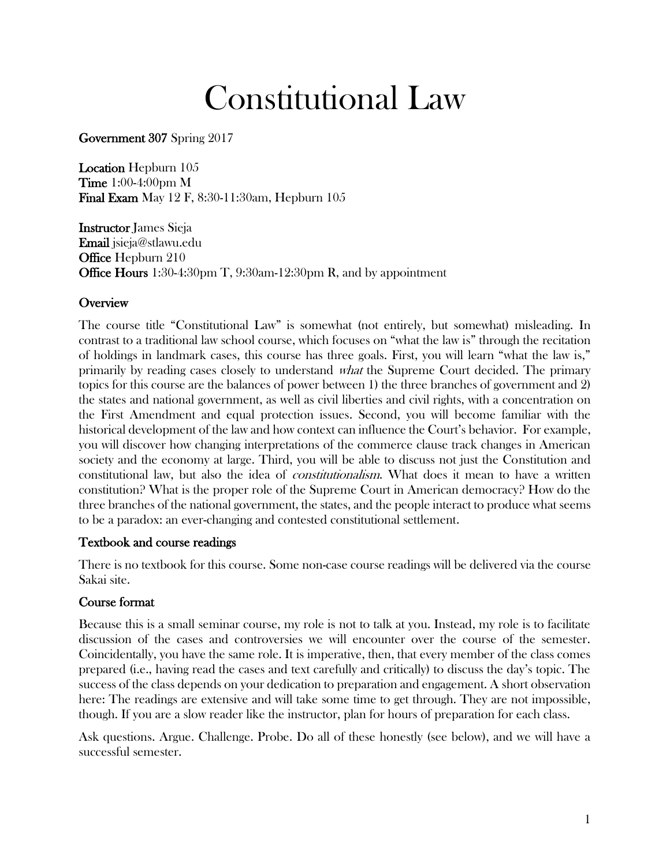# Constitutional Law

Government 307 Spring 2017

Location Hepburn 105 Time 1:00-4:00pm M Final Exam May 12 F, 8:30-11:30am, Hepburn 105

Instructor James Sieja Email jsieja@stlawu.edu **Office Hepburn 210** Office Hours 1:30-4:30pm T, 9:30am-12:30pm R, and by appointment

## **Overview**

The course title "Constitutional Law" is somewhat (not entirely, but somewhat) misleading. In contrast to a traditional law school course, which focuses on "what the law is" through the recitation of holdings in landmark cases, this course has three goals. First, you will learn "what the law is," primarily by reading cases closely to understand what the Supreme Court decided. The primary topics for this course are the balances of power between 1) the three branches of government and 2) the states and national government, as well as civil liberties and civil rights, with a concentration on the First Amendment and equal protection issues. Second, you will become familiar with the historical development of the law and how context can influence the Court's behavior. For example, you will discover how changing interpretations of the commerce clause track changes in American society and the economy at large. Third, you will be able to discuss not just the Constitution and constitutional law, but also the idea of *constitutionalism*. What does it mean to have a written constitution? What is the proper role of the Supreme Court in American democracy? How do the three branches of the national government, the states, and the people interact to produce what seems to be a paradox: an ever-changing and contested constitutional settlement.

## Textbook and course readings

There is no textbook for this course. Some non-case course readings will be delivered via the course Sakai site.

## Course format

Because this is a small seminar course, my role is not to talk at you. Instead, my role is to facilitate discussion of the cases and controversies we will encounter over the course of the semester. Coincidentally, you have the same role. It is imperative, then, that every member of the class comes prepared (i.e., having read the cases and text carefully and critically) to discuss the day's topic. The success of the class depends on your dedication to preparation and engagement. A short observation here: The readings are extensive and will take some time to get through. They are not impossible, though. If you are a slow reader like the instructor, plan for hours of preparation for each class.

Ask questions. Argue. Challenge. Probe. Do all of these honestly (see below), and we will have a successful semester.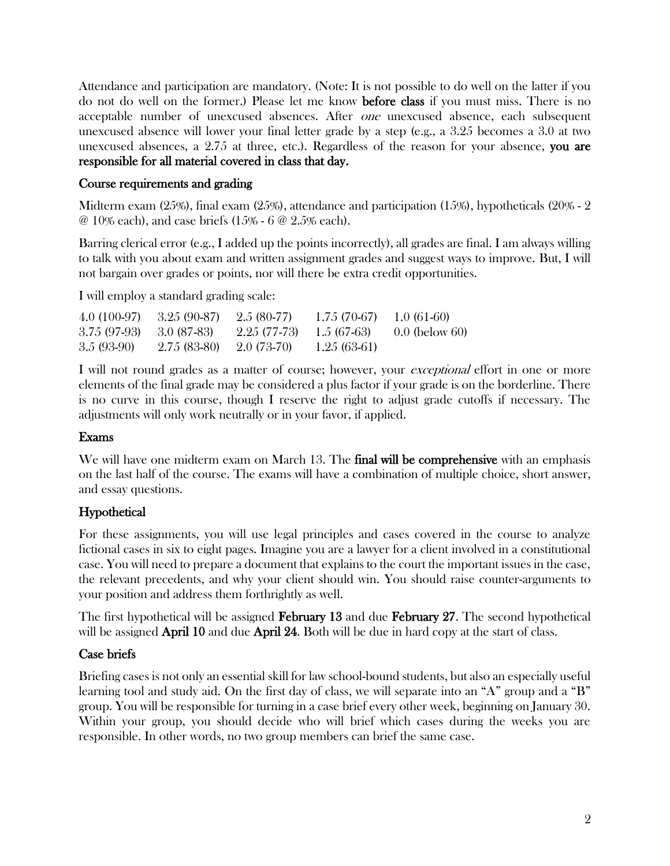Attendance and participation are mandatory. (Note: It is not possible to do well on the latter if you do not do well on the former.) Please let me know before class if you must miss. There is no acceptable number of unexcused absences. After one unexcused absence, each subsequent unexcused absence will lower your final letter grade by a step (e.g., a 3.25 becomes a 3.0 at two unexcused absences, a 2.75 at three, etc.). Regardless of the reason for your absence, you are responsible for all material covered in class that day.

## Course requirements and grading

Midterm exam  $(25%)$ , final exam  $(25%)$ , attendance and participation  $(15%)$ , hypotheticals  $(20% - 2)$ @ 10% each), and case briefs (15% - 6 @ 2.5% each).

Barring clerical error (e.g., I added up the points incorrectly), all grades are final. I am always willing to talk with you about exam and written assignment grades and suggest ways to improve. But, I will not bargain over grades or points, nor will there be extra credit opportunities.

I will employ a standard grading scale:

| $4.0(100-97)$ | $3.25(90-87)$ | $2.5(80-77)$ | $1.75(70-67)$ | $1.0(61-60)$     |
|---------------|---------------|--------------|---------------|------------------|
| 3.75 (97-93)  | - 3.0 (87-83) | 2.25 (77-73) | 1.5 (67-63)   | $0.0$ (below 60) |
| $3.5(93-90)$  | $2.75(83-80)$ | 2.0 (73-70)  | $1.25(63-61)$ |                  |

I will not round grades as a matter of course; however, your *exceptional* effort in one or more elements of the final grade may be considered a plus factor if your grade is on the borderline. There is no curve in this course, though I reserve the right to adjust grade cutoffs if necessary. The adjustments will only work neutrally or in your favor, if applied.

## Exams

We will have one midterm exam on March 13. The **final will be comprehensive** with an emphasis on the last half of the course. The exams will have a combination of multiple choice, short answer, and essay questions.

# Hypothetical

For these assignments, you will use legal principles and cases covered in the course to analyze fictional cases in six to eight pages. Imagine you are a lawyer for a client involved in a constitutional case. You will need to prepare a document that explains to the court the important issues in the case, the relevant precedents, and why your client should win. You should raise counter-arguments to your position and address them forthrightly as well.

The first hypothetical will be assigned **February 13** and due **February 27**. The second hypothetical will be assigned **April 10** and due **April 24.** Both will be due in hard copy at the start of class.

# Case briefs

Briefing cases is not only an essential skill for law school-bound students, but also an especially useful learning tool and study aid. On the first day of class, we will separate into an "A" group and a "B" group. You will be responsible for turning in a case brief every other week, beginning on January 30. Within your group, you should decide who will brief which cases during the weeks you are responsible. In other words, no two group members can brief the same case.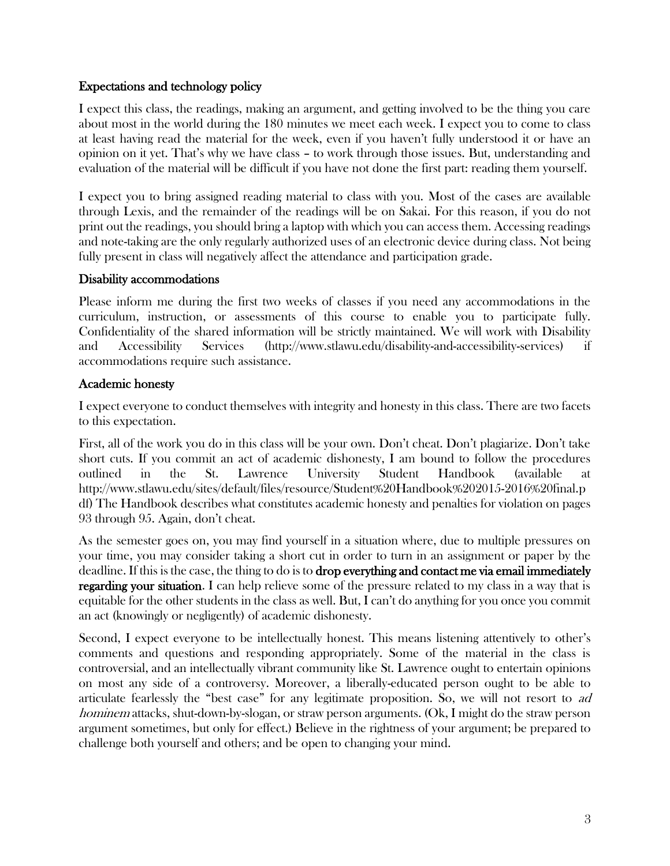## Expectations and technology policy

I expect this class, the readings, making an argument, and getting involved to be the thing you care about most in the world during the 180 minutes we meet each week. I expect you to come to class at least having read the material for the week, even if you haven't fully understood it or have an opinion on it yet. That's why we have class – to work through those issues. But, understanding and evaluation of the material will be difficult if you have not done the first part: reading them yourself.

I expect you to bring assigned reading material to class with you. Most of the cases are available through Lexis, and the remainder of the readings will be on Sakai. For this reason, if you do not print out the readings, you should bring a laptop with which you can access them. Accessing readings and note-taking are the only regularly authorized uses of an electronic device during class. Not being fully present in class will negatively affect the attendance and participation grade.

## Disability accommodations

Please inform me during the first two weeks of classes if you need any accommodations in the curriculum, instruction, or assessments of this course to enable you to participate fully. Confidentiality of the shared information will be strictly maintained. We will work with Disability and Accessibility Services (http://www.stlawu.edu/disability-and-accessibility-services) if accommodations require such assistance.

## Academic honesty

I expect everyone to conduct themselves with integrity and honesty in this class. There are two facets to this expectation.

First, all of the work you do in this class will be your own. Don't cheat. Don't plagiarize. Don't take short cuts. If you commit an act of academic dishonesty, I am bound to follow the procedures outlined in the St. Lawrence University Student Handbook (available at http://www.stlawu.edu/sites/default/files/resource/Student%20Handbook%202015-2016%20final.p df) The Handbook describes what constitutes academic honesty and penalties for violation on pages 93 through 95. Again, don't cheat.

As the semester goes on, you may find yourself in a situation where, due to multiple pressures on your time, you may consider taking a short cut in order to turn in an assignment or paper by the deadline. If this is the case, the thing to do is to drop everything and contact me via email immediately regarding your situation. I can help relieve some of the pressure related to my class in a way that is equitable for the other students in the class as well. But, I can't do anything for you once you commit an act (knowingly or negligently) of academic dishonesty.

Second, I expect everyone to be intellectually honest. This means listening attentively to other's comments and questions and responding appropriately. Some of the material in the class is controversial, and an intellectually vibrant community like St. Lawrence ought to entertain opinions on most any side of a controversy. Moreover, a liberally-educated person ought to be able to articulate fearlessly the "best case" for any legitimate proposition. So, we will not resort to ad hominem attacks, shut-down-by-slogan, or straw person arguments. (Ok, I might do the straw person argument sometimes, but only for effect.) Believe in the rightness of your argument; be prepared to challenge both yourself and others; and be open to changing your mind.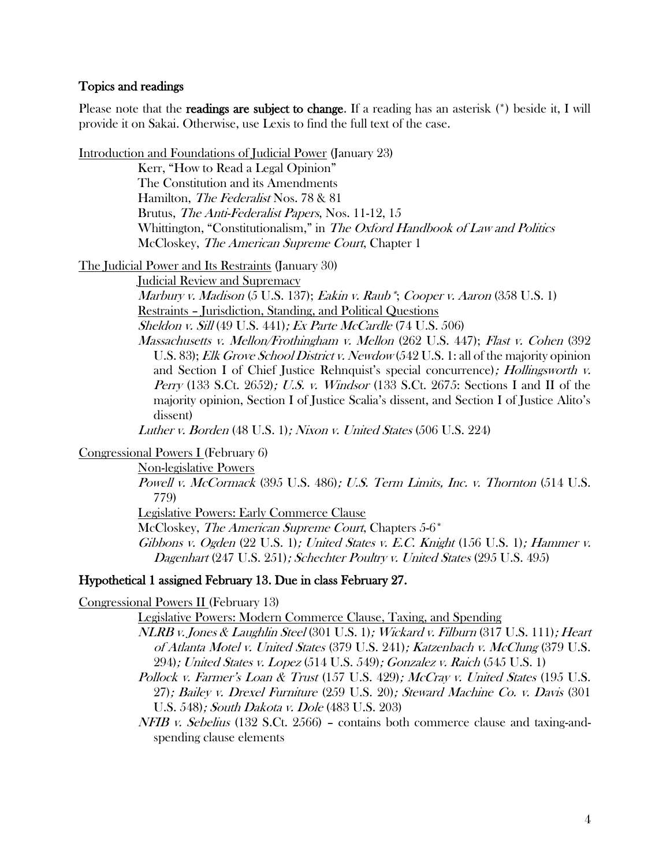#### Topics and readings

Please note that the readings are subject to change. If a reading has an asterisk (\*) beside it, I will provide it on Sakai. Otherwise, use Lexis to find the full text of the case.

Introduction and Foundations of Judicial Power (January 23)

Kerr, "How to Read a Legal Opinion" The Constitution and its Amendments Hamilton, The Federalist Nos. 78 & 81 Brutus, The Anti-Federalist Papers, Nos. 11-12, 15 Whittington, "Constitutionalism," in The Oxford Handbook of Law and Politics McCloskey, *The American Supreme Court*, Chapter 1

The Judicial Power and Its Restraints (January 30)

Judicial Review and Supremacy

Marbury v. Madison (5 U.S. 137); Eakin v. Raub\*; Cooper v. Aaron (358 U.S. 1) Restraints – Jurisdiction, Standing, and Political Questions

Sheldon v. Sill (49 U.S. 441); Ex Parte McCardle (74 U.S. 506)

Massachusetts v. Mellon/Frothingham v. Mellon (262 U.S. 447); Flast v. Cohen (392 U.S. 83); *Elk Grove School District v. Newdow* (542 U.S. 1: all of the majority opinion and Section I of Chief Justice Rehnquist's special concurrence); *Hollingsworth v.* Perry (133 S.Ct. 2652); U.S. v. Windsor (133 S.Ct. 2675: Sections I and II of the majority opinion, Section I of Justice Scalia's dissent, and Section I of Justice Alito's dissent)

Luther v. Borden (48 U.S. 1); Nixon v. United States (506 U.S. 224)

Congressional Powers I (February 6)

Non-legislative Powers

Powell v. McCormack (395 U.S. 486); U.S. Term Limits, Inc. v. Thornton (514 U.S. 779)

Legislative Powers: Early Commerce Clause

McCloskey, *The American Supreme Court*, Chapters 5-6<sup>\*</sup>

Gibbons v. Ogden  $(22 \text{ U.S. 1})$ ; United States v. E.C. Knight  $(156 \text{ U.S. 1})$ ; Hammer v. Dagenhart (247 U.S. 251); Schechter Poultry v. United States (295 U.S. 495)

#### Hypothetical 1 assigned February 13. Due in class February 27.

Congressional Powers II (February 13)

Legislative Powers: Modern Commerce Clause, Taxing, and Spending

- NLRB v. Jones & Laughlin Steel (301 U.S. 1); Wickard v. Filburn (317 U.S. 111); Heart of Atlanta Motel v. United States (379 U.S. 241); Katzenbach v. McClung (379 U.S. 294); United States v. Lopez (514 U.S. 549); Gonzalez v. Raich (545 U.S. 1)
- Pollock v. Farmer's Loan & Trust (157 U.S. 429); McCray v. United States (195 U.S. 27); Bailey v. Drexel Furniture (259 U.S. 20); Steward Machine Co. v. Davis (301 U.S. 548); South Dakota v. Dole (483 U.S. 203)
- $NFB$  v. Sebelius (132 S.Ct. 2566) contains both commerce clause and taxing-andspending clause elements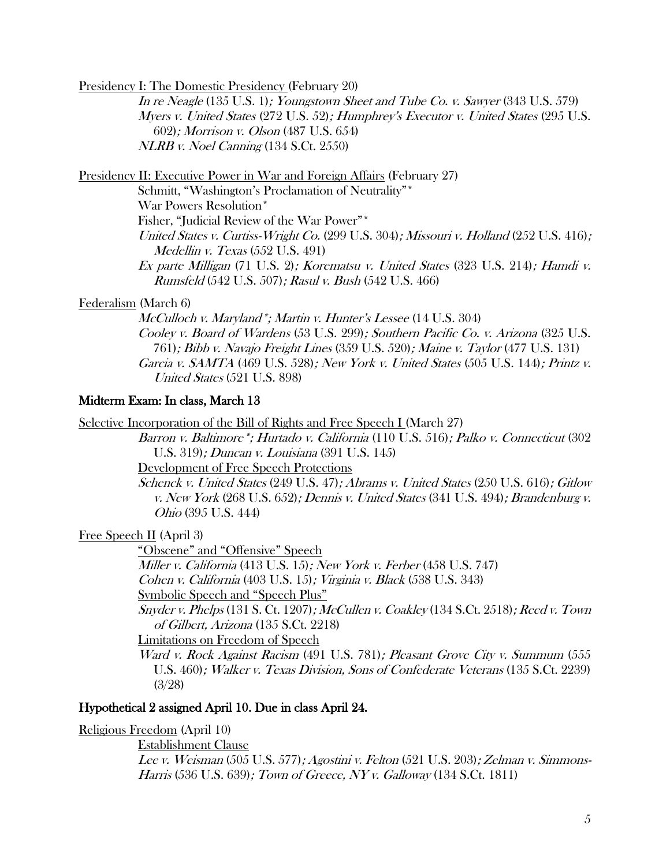Presidency I: The Domestic Presidency (February 20)

In re Neagle (135 U.S. 1); Youngstown Sheet and Tube Co. v. Sawyer (343 U.S. 579) Myers v. United States (272 U.S. 52); Humphrey's Executor v. United States (295 U.S. 602); Morrison v. Olson (487 U.S. 654) NLRB v. Noel Canning (134 S.Ct. 2550)

Presidency II: Executive Power in War and Foreign Affairs (February 27)

Schmitt, "Washington's Proclamation of Neutrality"\* War Powers Resolution\* Fisher, "Judicial Review of the War Power"\* United States v. Curtiss-Wright Co. (299 U.S. 304); Missouri v. Holland (252 U.S. 416); Medellin v. Texas (552 U.S. 491) Ex parte Milligan (71 U.S. 2); Korematsu v. United States (323 U.S. 214); Hamdi v.

Rumsfeld (542 U.S. 507); Rasul v. Bush (542 U.S. 466)

#### Federalism (March 6)

McCulloch v. Maryland\*; Martin v. Hunter's Lessee (14 U.S. 304) Cooley v. Board of Wardens (53 U.S. 299); Southern Pacific Co. v. Arizona (325 U.S. 761); Bibb v. Navajo Freight Lines (359 U.S. 520); Maine v. Taylor (477 U.S. 131) Garcia v. SAMTA (469 U.S. 528); New York v. United States (505 U.S. 144); Printz v. United States (521 U.S. 898)

#### Midterm Exam: In class, March 13

Selective Incorporation of the Bill of Rights and Free Speech I (March 27)

Barron v. Baltimore\*; Hurtado v. California (110 U.S. 516); Palko v. Connecticut (302 U.S. 319); Duncan v. Louisiana (391 U.S. 145)

Development of Free Speech Protections

Schenck v. United States (249 U.S. 47); Abrams v. United States (250 U.S. 616); Gitlow v. New York (268 U.S. 652); Dennis v. United States (341 U.S. 494); Brandenburg v. Ohio (395 U.S. 444)

Free Speech II (April 3)

"Obscene" and "Offensive" Speech

Miller v. California (413 U.S. 15); New York v. Ferber (458 U.S. 747)

Cohen v. California (403 U.S. 15); Virginia v. Black (538 U.S. 343)

Symbolic Speech and "Speech Plus"

Snyder v. Phelps  $(131 S. Ct. 1207)$ ; McCullen v. Coakley  $(134 S. Ct. 2518)$ ; Reed v. Town of Gilbert, Arizona (135 S.Ct. 2218)

Limitations on Freedom of Speech

Ward v. Rock Against Racism (491 U.S. 781); Pleasant Grove City v. Summum (555 U.S. 460); Walker v. Texas Division, Sons of Confederate Veterans (135 S.Ct. 2239) (3/28)

#### Hypothetical 2 assigned April 10. Due in class April 24.

Religious Freedom (April 10)

Establishment Clause

Lee v. Weisman (505 U.S. 577); Agostini v. Felton (521 U.S. 203); Zelman v. Simmons-Harris (536 U.S. 639); Town of Greece, NY v. Galloway (134 S.Ct. 1811)